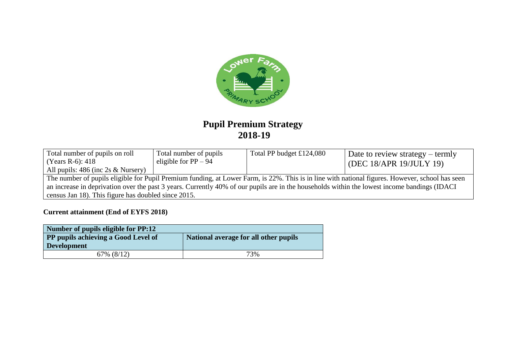

# **Pupil Premium Strategy 2018-19**

| Total number of pupils on roll<br>(Years R-6): 418<br>All pupils: 486 (inc 2s & Nursery)                                                        | Total number of pupils<br>eligible for $PP - 94$    | Total PP budget £124,080 | Date to review strategy – termly<br>(DEC 18/APR 19/JULY 19) |  |  |  |  |
|-------------------------------------------------------------------------------------------------------------------------------------------------|-----------------------------------------------------|--------------------------|-------------------------------------------------------------|--|--|--|--|
| The number of pupils eligible for Pupil Premium funding, at Lower Farm, is 22%. This is in line with national figures. However, school has seen |                                                     |                          |                                                             |  |  |  |  |
| an increase in deprivation over the past 3 years. Currently 40% of our pupils are in the households within the lowest income bandings (IDACI)   |                                                     |                          |                                                             |  |  |  |  |
|                                                                                                                                                 | census Jan 18). This figure has doubled since 2015. |                          |                                                             |  |  |  |  |

## **Current attainment (End of EYFS 2018)**

| Number of pupils eligible for PP:12                                                 |     |  |  |
|-------------------------------------------------------------------------------------|-----|--|--|
| <b>PP pupils achieving a Good Level of</b><br>National average for all other pupils |     |  |  |
| <b>Development</b>                                                                  |     |  |  |
| $67\%$ $(8/12)$                                                                     | 73% |  |  |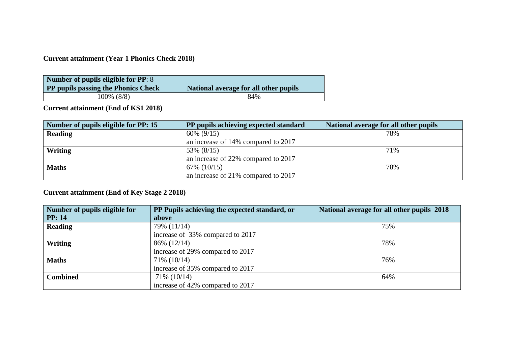## **Current attainment (Year 1 Phonics Check 2018)**

| Number of pupils eligible for PP: 8 |                                       |
|-------------------------------------|---------------------------------------|
| PP pupils passing the Phonics Check | National average for all other pupils |
| 100% (8/8)                          | 84%                                   |

**Current attainment (End of KS1 2018)**

| Number of pupils eligible for PP: 15 | PP pupils achieving expected standard | National average for all other pupils |
|--------------------------------------|---------------------------------------|---------------------------------------|
| <b>Reading</b>                       | $60\% (9/15)$                         | 78%                                   |
|                                      | an increase of 14% compared to 2017   |                                       |
| Writing                              | 53% (8/15)                            | 71%                                   |
|                                      | an increase of 22% compared to 2017   |                                       |
| <b>Maths</b>                         | $67\%$ (10/15)                        | 78%                                   |
|                                      | an increase of 21% compared to 2017   |                                       |

# **Current attainment (End of Key Stage 2 2018)**

| Number of pupils eligible for | PP Pupils achieving the expected standard, or | National average for all other pupils 2018 |
|-------------------------------|-----------------------------------------------|--------------------------------------------|
| <b>PP</b> : 14                | above                                         |                                            |
| <b>Reading</b>                | 79% (11/14)                                   | 75%                                        |
|                               | increase of 33% compared to 2017              |                                            |
| Writing                       | 86% (12/14)                                   | 78%                                        |
|                               | increase of 29% compared to 2017              |                                            |
| <b>Maths</b>                  | $71\%$ (10/14)                                | 76%                                        |
|                               | increase of 35% compared to 2017              |                                            |
| <b>Combined</b>               | 71% (10/14)                                   | 64%                                        |
|                               | increase of 42% compared to 2017              |                                            |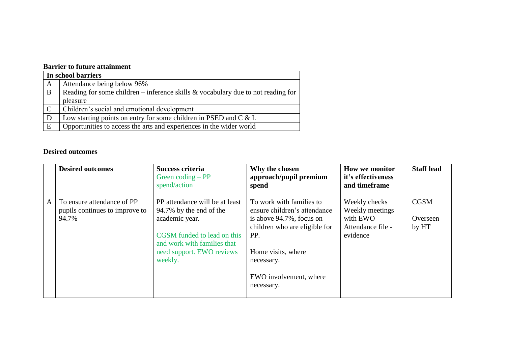### **Barrier to future attainment**

|              | In school barriers                                                                  |  |  |  |
|--------------|-------------------------------------------------------------------------------------|--|--|--|
| A            | Attendance being below 96%                                                          |  |  |  |
| B            | Reading for some children – inference skills $\&$ vocabulary due to not reading for |  |  |  |
|              | pleasure                                                                            |  |  |  |
| $\mathsf{C}$ | Children's social and emotional development                                         |  |  |  |
| D            | Low starting points on entry for some children in PSED and $C & L$                  |  |  |  |
| E            | Opportunities to access the arts and experiences in the wider world                 |  |  |  |

#### **Desired outcomes**

|              | <b>Desired outcomes</b>                                               | Success criteria<br>Green coding $-PP$<br>spend/action                                                                                                                            | Why the chosen<br>approach/pupil premium<br>spend                                                                                                                                                        | <b>How we monitor</b><br>it's effectiveness<br>and timeframe                  | <b>Staff lead</b>                |
|--------------|-----------------------------------------------------------------------|-----------------------------------------------------------------------------------------------------------------------------------------------------------------------------------|----------------------------------------------------------------------------------------------------------------------------------------------------------------------------------------------------------|-------------------------------------------------------------------------------|----------------------------------|
| $\mathsf{A}$ | To ensure attendance of PP<br>pupils continues to improve to<br>94.7% | PP attendance will be at least<br>94.7% by the end of the<br>academic year.<br>CGSM funded to lead on this<br>and work with families that<br>need support. EWO reviews<br>weekly. | To work with families to<br>ensure children's attendance<br>is above 94.7%, focus on<br>children who are eligible for<br>PP.<br>Home visits, where<br>necessary.<br>EWO involvement, where<br>necessary. | Weekly checks<br>Weekly meetings<br>with EWO<br>Attendance file -<br>evidence | <b>CGSM</b><br>Overseen<br>by HT |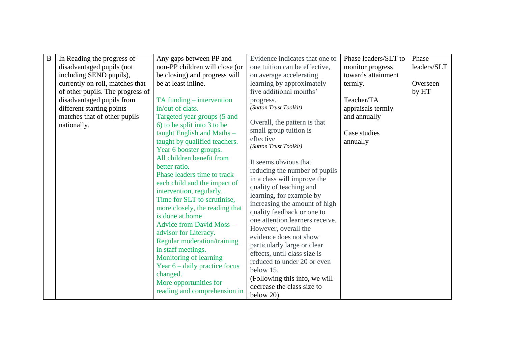| $\mathbf B$ | In Reading the progress of       | Any gaps between PP and            | Evidence indicates that one to      | Phase leaders/SLT to | Phase       |
|-------------|----------------------------------|------------------------------------|-------------------------------------|----------------------|-------------|
|             | disadvantaged pupils (not        | non-PP children will close (or     | one tuition can be effective,       | monitor progress     | leaders/SLT |
|             | including SEND pupils),          | be closing) and progress will      | on average accelerating             | towards attainment   |             |
|             | currently on roll, matches that  | be at least inline.                | learning by approximately           | termly.              | Overseen    |
|             | of other pupils. The progress of |                                    | five additional months'             |                      | by HT       |
|             | disadvantaged pupils from        | TA funding – intervention          | progress.                           | Teacher/TA           |             |
|             | different starting points        | in/out of class.                   | (Sutton Trust Toolkit)              | appraisals termly    |             |
|             | matches that of other pupils     | Targeted year groups (5 and        |                                     | and annually         |             |
|             | nationally.                      | 6) to be split into 3 to be        | Overall, the pattern is that        |                      |             |
|             |                                  | taught English and Maths-          | small group tuition is              | Case studies         |             |
|             |                                  | taught by qualified teachers.      | effective<br>(Sutton Trust Toolkit) | annually             |             |
|             |                                  | Year 6 booster groups.             |                                     |                      |             |
|             |                                  | All children benefit from          | It seems obvious that               |                      |             |
|             |                                  | better ratio.                      | reducing the number of pupils       |                      |             |
|             |                                  | Phase leaders time to track        | in a class will improve the         |                      |             |
|             |                                  | each child and the impact of       | quality of teaching and             |                      |             |
|             |                                  | intervention, regularly.           | learning, for example by            |                      |             |
|             |                                  | Time for SLT to scrutinise,        | increasing the amount of high       |                      |             |
|             |                                  | more closely, the reading that     | quality feedback or one to          |                      |             |
|             |                                  | is done at home                    | one attention learners receive.     |                      |             |
|             |                                  | <b>Advice from David Moss -</b>    | However, overall the                |                      |             |
|             |                                  | advisor for Literacy.              | evidence does not show              |                      |             |
|             |                                  | <b>Regular moderation/training</b> | particularly large or clear         |                      |             |
|             |                                  | in staff meetings.                 | effects, until class size is        |                      |             |
|             |                                  | Monitoring of learning             | reduced to under 20 or even         |                      |             |
|             |                                  | Year $6$ – daily practice focus    | below 15.                           |                      |             |
|             |                                  | changed.                           | (Following this info, we will       |                      |             |
|             |                                  | More opportunities for             | decrease the class size to          |                      |             |
|             |                                  | reading and comprehension in       | below $20$ )                        |                      |             |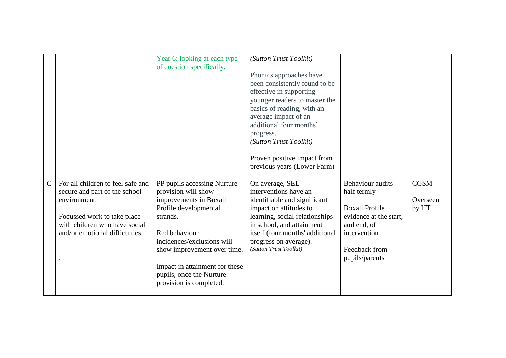|             |                                                                    | Year 6: looking at each type<br>of question specifically.                             | (Sutton Trust Toolkit)<br>Phonics approaches have<br>been consistently found to be<br>effective in supporting<br>younger readers to master the<br>basics of reading, with an<br>average impact of an<br>additional four months'<br>progress.<br>(Sutton Trust Toolkit)<br>Proven positive impact from<br>previous years (Lower Farm) |                                        |                   |
|-------------|--------------------------------------------------------------------|---------------------------------------------------------------------------------------|--------------------------------------------------------------------------------------------------------------------------------------------------------------------------------------------------------------------------------------------------------------------------------------------------------------------------------------|----------------------------------------|-------------------|
| $\mathbf C$ | For all children to feel safe and<br>secure and part of the school | PP pupils accessing Nurture<br>provision will show                                    | On average, SEL<br>interventions have an                                                                                                                                                                                                                                                                                             | <b>Behaviour</b> audits<br>half termly | <b>CGSM</b>       |
|             | environment.                                                       | improvements in Boxall<br>Profile developmental                                       | identifiable and significant<br>impact on attitudes to                                                                                                                                                                                                                                                                               | <b>Boxall Profile</b>                  | Overseen<br>by HT |
|             | Focussed work to take place<br>with children who have social       | strands.                                                                              | learning, social relationships<br>in school, and attainment                                                                                                                                                                                                                                                                          | evidence at the start,<br>and end, of  |                   |
|             | and/or emotional difficulties.                                     | Red behaviour<br>incidences/exclusions will                                           | itself (four months' additional<br>progress on average).                                                                                                                                                                                                                                                                             | intervention                           |                   |
|             |                                                                    | show improvement over time.                                                           | (Sutton Trust Toolkit)                                                                                                                                                                                                                                                                                                               | Feedback from<br>pupils/parents        |                   |
|             |                                                                    | Impact in attainment for these<br>pupils, once the Nurture<br>provision is completed. |                                                                                                                                                                                                                                                                                                                                      |                                        |                   |
|             |                                                                    |                                                                                       |                                                                                                                                                                                                                                                                                                                                      |                                        |                   |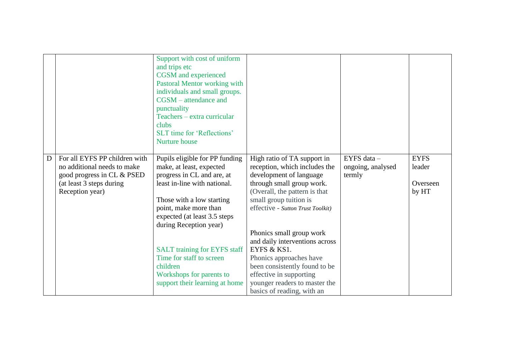|   |                                                                                                                                           | Support with cost of uniform<br>and trips etc<br><b>CGSM</b> and experienced<br>Pastoral Mentor working with<br>individuals and small groups.<br>$CGSM - attenuance$ and<br>punctuality<br>Teachers - extra curricular<br>clubs<br><b>SLT</b> time for 'Reflections'<br>Nurture house                                                                                                  |                                                                                                                                                                                                                                                                                                                                                                                                                                                         |                                            |                                            |
|---|-------------------------------------------------------------------------------------------------------------------------------------------|----------------------------------------------------------------------------------------------------------------------------------------------------------------------------------------------------------------------------------------------------------------------------------------------------------------------------------------------------------------------------------------|---------------------------------------------------------------------------------------------------------------------------------------------------------------------------------------------------------------------------------------------------------------------------------------------------------------------------------------------------------------------------------------------------------------------------------------------------------|--------------------------------------------|--------------------------------------------|
| D | For all EYFS PP children with<br>no additional needs to make<br>good progress in CL & PSED<br>(at least 3 steps during<br>Reception year) | Pupils eligible for PP funding<br>make, at least, expected<br>progress in CL and are, at<br>least in-line with national.<br>Those with a low starting<br>point, make more than<br>expected (at least 3.5 steps)<br>during Reception year)<br><b>SALT</b> training for EYFS staff<br>Time for staff to screen<br>children<br>Workshops for parents to<br>support their learning at home | High ratio of TA support in<br>reception, which includes the<br>development of language<br>through small group work.<br>(Overall, the pattern is that<br>small group tuition is<br>effective - Sutton Trust Toolkit)<br>Phonics small group work<br>and daily interventions across<br>EYFS & KS1.<br>Phonics approaches have<br>been consistently found to be<br>effective in supporting<br>younger readers to master the<br>basics of reading, with an | EYFS data -<br>ongoing, analysed<br>termly | <b>EYFS</b><br>leader<br>Overseen<br>by HT |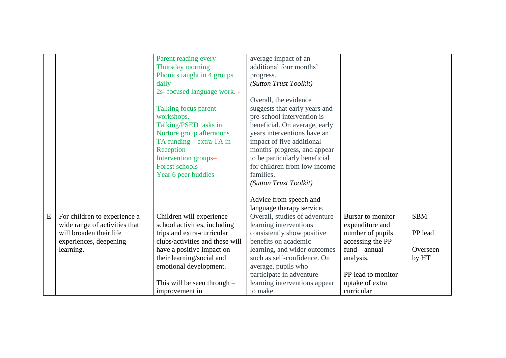|           |                               | Parent reading every<br>Thursday morning<br>Phonics taught in 4 groups<br>daily<br>2s- focused language work. -<br><b>Talking focus parent</b><br>workshops.<br>Talking/PSED tasks in<br>Nurture group afternoons<br>TA funding - extra TA in<br>Reception<br>Intervention groups-<br><b>Forest schools</b><br>Year 6 peer buddies | average impact of an<br>additional four months'<br>progress.<br>(Sutton Trust Toolkit)<br>Overall, the evidence<br>suggests that early years and<br>pre-school intervention is<br>beneficial. On average, early<br>years interventions have an<br>impact of five additional<br>months' progress, and appear<br>to be particularly beneficial<br>for children from low income<br>families.<br>(Sutton Trust Toolkit) |                    |            |
|-----------|-------------------------------|------------------------------------------------------------------------------------------------------------------------------------------------------------------------------------------------------------------------------------------------------------------------------------------------------------------------------------|---------------------------------------------------------------------------------------------------------------------------------------------------------------------------------------------------------------------------------------------------------------------------------------------------------------------------------------------------------------------------------------------------------------------|--------------------|------------|
|           |                               |                                                                                                                                                                                                                                                                                                                                    | Advice from speech and<br>language therapy service.                                                                                                                                                                                                                                                                                                                                                                 |                    |            |
|           |                               |                                                                                                                                                                                                                                                                                                                                    |                                                                                                                                                                                                                                                                                                                                                                                                                     | Bursar to monitor  |            |
| ${\bf E}$ | For children to experience a  | Children will experience                                                                                                                                                                                                                                                                                                           | Overall, studies of adventure                                                                                                                                                                                                                                                                                                                                                                                       |                    | <b>SBM</b> |
|           | wide range of activities that | school activities, including                                                                                                                                                                                                                                                                                                       | learning interventions                                                                                                                                                                                                                                                                                                                                                                                              | expenditure and    |            |
|           | will broaden their life       | trips and extra-curricular                                                                                                                                                                                                                                                                                                         | consistently show positive                                                                                                                                                                                                                                                                                                                                                                                          | number of pupils   | PP lead    |
|           | experiences, deepening        | clubs/activities and these will                                                                                                                                                                                                                                                                                                    | benefits on academic                                                                                                                                                                                                                                                                                                                                                                                                | accessing the PP   |            |
|           | learning.                     | have a positive impact on                                                                                                                                                                                                                                                                                                          | learning, and wider outcomes                                                                                                                                                                                                                                                                                                                                                                                        | $fund - annual$    | Overseen   |
|           |                               | their learning/social and                                                                                                                                                                                                                                                                                                          | such as self-confidence. On                                                                                                                                                                                                                                                                                                                                                                                         | analysis.          | by HT      |
|           |                               | emotional development.                                                                                                                                                                                                                                                                                                             | average, pupils who                                                                                                                                                                                                                                                                                                                                                                                                 |                    |            |
|           |                               |                                                                                                                                                                                                                                                                                                                                    | participate in adventure                                                                                                                                                                                                                                                                                                                                                                                            | PP lead to monitor |            |
|           |                               | This will be seen through $-$                                                                                                                                                                                                                                                                                                      | learning interventions appear                                                                                                                                                                                                                                                                                                                                                                                       | uptake of extra    |            |
|           |                               | improvement in                                                                                                                                                                                                                                                                                                                     | to make                                                                                                                                                                                                                                                                                                                                                                                                             | curricular         |            |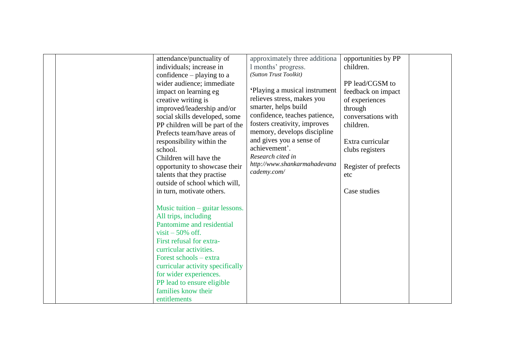| attendance/punctuality of<br>individuals; increase in<br>confidence $-$ playing to a<br>wider audience; immediate<br>impact on learning eg<br>creative writing is<br>improved/leadership and/or<br>social skills developed, some<br>PP children will be part of the<br>Prefects team/have areas of<br>responsibility within the<br>school.<br>Children will have the<br>opportunity to showcase their<br>talents that they practise<br>outside of school which will,<br>in turn, motivate others. | approximately three additiona<br>1 months' progress.<br>(Sutton Trust Toolkit)<br>'Playing a musical instrument<br>relieves stress, makes you<br>smarter, helps build<br>confidence, teaches patience,<br>fosters creativity, improves<br>memory, develops discipline<br>and gives you a sense of<br>achievement'.<br>Research cited in<br>http://www.shankarmahadevana<br>cademy.com/ | opportunities by PP<br>children.<br>PP lead/CGSM to<br>feedback on impact<br>of experiences<br>through<br>conversations with<br>children.<br>Extra curricular<br>clubs registers<br>Register of prefects<br>etc<br>Case studies |  |
|---------------------------------------------------------------------------------------------------------------------------------------------------------------------------------------------------------------------------------------------------------------------------------------------------------------------------------------------------------------------------------------------------------------------------------------------------------------------------------------------------|----------------------------------------------------------------------------------------------------------------------------------------------------------------------------------------------------------------------------------------------------------------------------------------------------------------------------------------------------------------------------------------|---------------------------------------------------------------------------------------------------------------------------------------------------------------------------------------------------------------------------------|--|
| Music tuition $-$ guitar lessons.<br>All trips, including<br>Pantomime and residential<br>visit $-50\%$ off.<br>First refusal for extra-<br>curricular activities.<br>Forest schools – extra<br>curricular activity specifically<br>for wider experiences.<br>PP lead to ensure eligible<br>families know their<br>entitlements                                                                                                                                                                   |                                                                                                                                                                                                                                                                                                                                                                                        |                                                                                                                                                                                                                                 |  |